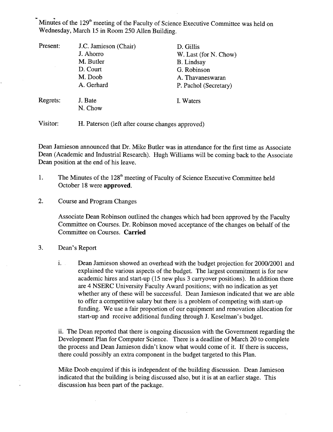Minutes of the  $129<sup>th</sup>$  meeting of the Faculty of Science Executive Committee was held on Wednesday, March 15 in Room 250 Allen Building.

| Present: | J.C. Jamieson (Chair)                            | D. Gillis             |
|----------|--------------------------------------------------|-----------------------|
|          | J. Ahorro                                        | W. Last (for N. Chow) |
|          | M. Butler                                        | <b>B.</b> Lindsay     |
|          | D. Court                                         | G. Robinson           |
|          | M. Doob                                          | A. Thavaneswaran      |
|          | A. Gerhard                                       | P. Pachol (Secretary) |
| Regrets: | J. Bate<br>N. Chow                               | I. Waters             |
| Visitor: | H. Paterson (left after course changes approved) |                       |

Dean Jamieson announced that Dr. Mike Butler was in attendance for the first time as Associate Dean (Academic and Industrial Research). Hugh Williams will be coming back to the Associate Dean position at the end of his leave.

- The Minutes of the 128<sup>th</sup> meeting of Faculty of Science Executive Committee held 1. October 18 were **approved.**
- $2.$ Course and Program Changes

Associate Dean Robinson outlined the changes which had been approved by the Faculty Committee on Courses. Dr. Robinson moved acceptance of the changes on behalf of the Committee on Courses. **Carried** 

- $3.$ Dean's Report
	- i. . Dean Jamieson showed an overhead with the budget projection for 2000/2001 and explained the various aspects of the budget. The largest commitment is for new academic hires and start-up *(15* new plus 3 carryover positions). In addition there are 4 NSERC University Faculty Award positions; with no indication as yet whether any of these will be successful. Dean Jamieson indicated that we are able to offer a competitive salary but there is a problem of competing with start-up funding. We use a fair proportion of our equipment and renovation allocation for start-up and receive additional funding through J. Keselman's budget.

The Dean reported that there is ongoing discussion with the Government regarding the Development Plan for Computer Science. There is a deadline of March 20 to complete the process and Dean Jamieson didn't know what would come of it. If there is success, there could possibly an extra component in the budget targeted to this Plan.

Mike Doob enquired if this is independent of the building discussion. Dean Jamieson indicated that the building is being discussed also, but it is at an earlier stage. This discussion has been part of the package.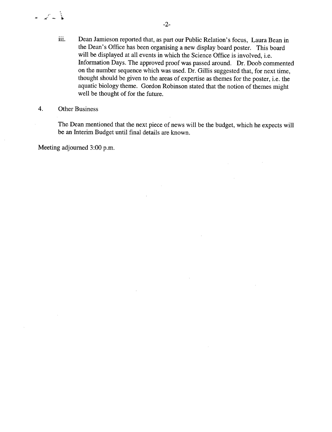- iii. Dean Jamieson reported that, as part our Public Relation's focus, Laura Bean in the Dean's Office has been organising a new display board poster. This board will be displayed at all events in which the Science Office is involved, i.e. Information Days. The approved proof was passed around. Dr. Doob commented on the number sequence which was used. Dr. Gillis suggested that, for next time, thought should be given to the areas of expertise as themes for the poster, i.e. the aquatic biology theme. Gordon Robinson stated that the notion of themes might well be thought of for the future.
- 4. Other Business

یا کے لیے

The Dean mentioned that the next piece of news will be the budget, which he expects will be an Interim Budget until final details are known.

 $\ddot{\phantom{a}}$ 

Meeting adjourned 3:00 p.m.